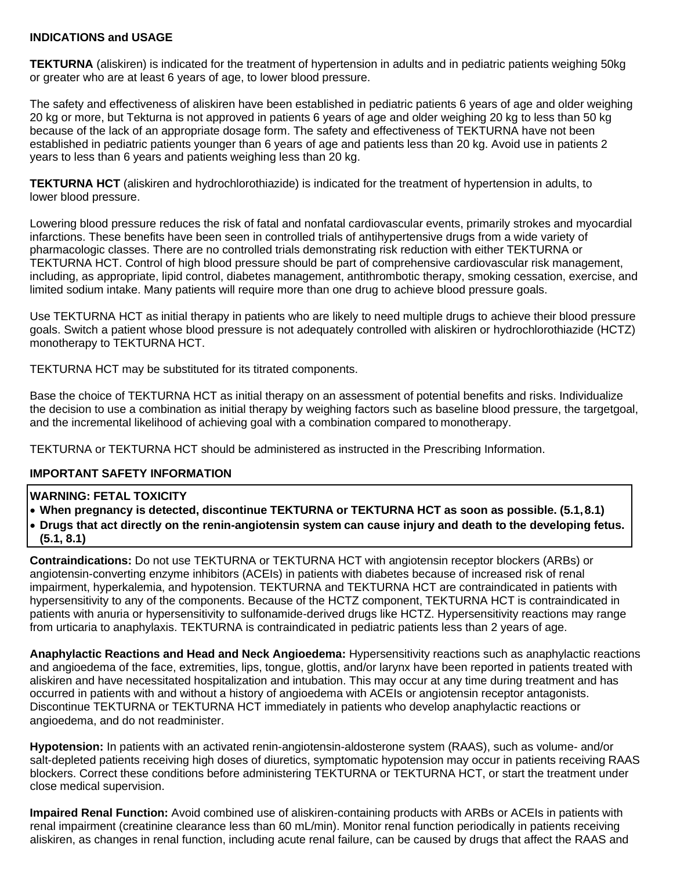## **INDICATIONS and USAGE**

**TEKTURNA** (aliskiren) is indicated for the treatment of hypertension in adults and in pediatric patients weighing 50kg or greater who are at least 6 years of age, to lower blood pressure.

The safety and effectiveness of aliskiren have been established in pediatric patients 6 years of age and older weighing 20 kg or more, but Tekturna is not approved in patients 6 years of age and older weighing 20 kg to less than 50 kg because of the lack of an appropriate dosage form. The safety and effectiveness of TEKTURNA have not been established in pediatric patients younger than 6 years of age and patients less than 20 kg. Avoid use in patients 2 years to less than 6 years and patients weighing less than 20 kg.

**TEKTURNA HCT** (aliskiren and hydrochlorothiazide) is indicated for the treatment of hypertension in adults, to lower blood pressure.

Lowering blood pressure reduces the risk of fatal and nonfatal cardiovascular events, primarily strokes and myocardial infarctions. These benefits have been seen in controlled trials of antihypertensive drugs from a wide variety of pharmacologic classes. There are no controlled trials demonstrating risk reduction with either TEKTURNA or TEKTURNA HCT. Control of high blood pressure should be part of comprehensive cardiovascular risk management, including, as appropriate, lipid control, diabetes management, antithrombotic therapy, smoking cessation, exercise, and limited sodium intake. Many patients will require more than one drug to achieve blood pressure goals.

Use TEKTURNA HCT as initial therapy in patients who are likely to need multiple drugs to achieve their blood pressure goals. Switch a patient whose blood pressure is not adequately controlled with aliskiren or hydrochlorothiazide (HCTZ) monotherapy to TEKTURNA HCT.

TEKTURNA HCT may be substituted for its titrated components.

Base the choice of TEKTURNA HCT as initial therapy on an assessment of potential benefits and risks. Individualize the decision to use a combination as initial therapy by weighing factors such as baseline blood pressure, the targetgoal, and the incremental likelihood of achieving goal with a combination compared to monotherapy.

TEKTURNA or TEKTURNA HCT should be administered as instructed in the Prescribing Information.

## **IMPORTANT SAFETY INFORMATION**

## **WARNING: FETAL TOXICITY**

- **When pregnancy is detected, discontinue TEKTURNA or TEKTURNA HCT as soon as possible. (5.1,8.1)**
- **Drugs that act directly on the renin-angiotensin system can cause injury and death to the developing fetus. (5.1, 8.1)**

**Contraindications:** Do not use TEKTURNA or TEKTURNA HCT with angiotensin receptor blockers (ARBs) or angiotensin-converting enzyme inhibitors (ACEIs) in patients with diabetes because of increased risk of renal impairment, hyperkalemia, and hypotension. TEKTURNA and TEKTURNA HCT are contraindicated in patients with hypersensitivity to any of the components. Because of the HCTZ component, TEKTURNA HCT is contraindicated in patients with anuria or hypersensitivity to sulfonamide-derived drugs like HCTZ. Hypersensitivity reactions may range from urticaria to anaphylaxis. TEKTURNA is contraindicated in pediatric patients less than 2 years of age.

**Anaphylactic Reactions and Head and Neck Angioedema:** Hypersensitivity reactions such as anaphylactic reactions and angioedema of the face, extremities, lips, tongue, glottis, and/or larynx have been reported in patients treated with aliskiren and have necessitated hospitalization and intubation. This may occur at any time during treatment and has occurred in patients with and without a history of angioedema with ACEIs or angiotensin receptor antagonists. Discontinue TEKTURNA or TEKTURNA HCT immediately in patients who develop anaphylactic reactions or angioedema, and do not readminister.

**Hypotension:** In patients with an activated renin-angiotensin-aldosterone system (RAAS), such as volume- and/or salt-depleted patients receiving high doses of diuretics, symptomatic hypotension may occur in patients receiving RAAS blockers. Correct these conditions before administering TEKTURNA or TEKTURNA HCT, or start the treatment under close medical supervision.

**Impaired Renal Function:** Avoid combined use of aliskiren-containing products with ARBs or ACEIs in patients with renal impairment (creatinine clearance less than 60 mL/min). Monitor renal function periodically in patients receiving aliskiren, as changes in renal function, including acute renal failure, can be caused by drugs that affect the RAAS and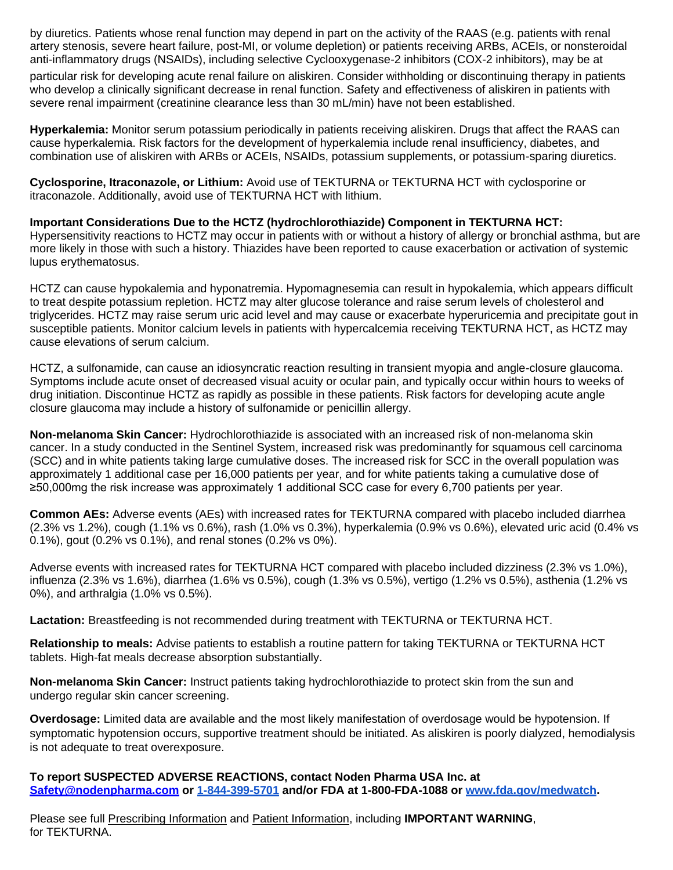by diuretics. Patients whose renal function may depend in part on the activity of the RAAS (e.g. patients with renal artery stenosis, severe heart failure, post-MI, or volume depletion) or patients receiving ARBs, ACEIs, or nonsteroidal anti-inflammatory drugs (NSAIDs), including selective Cyclooxygenase-2 inhibitors (COX-2 inhibitors), may be at

particular risk for developing acute renal failure on aliskiren. Consider withholding or discontinuing therapy in patients who develop a clinically significant decrease in renal function. Safety and effectiveness of aliskiren in patients with severe renal impairment (creatinine clearance less than 30 mL/min) have not been established.

**Hyperkalemia:** Monitor serum potassium periodically in patients receiving aliskiren. Drugs that affect the RAAS can cause hyperkalemia. Risk factors for the development of hyperkalemia include renal insufficiency, diabetes, and combination use of aliskiren with ARBs or ACEIs, NSAIDs, potassium supplements, or potassium-sparing diuretics.

**Cyclosporine, Itraconazole, or Lithium:** Avoid use of TEKTURNA or TEKTURNA HCT with cyclosporine or itraconazole. Additionally, avoid use of TEKTURNA HCT with lithium.

**Important Considerations Due to the HCTZ (hydrochlorothiazide) Component in TEKTURNA HCT:**  Hypersensitivity reactions to HCTZ may occur in patients with or without a history of allergy or bronchial asthma, but are more likely in those with such a history. Thiazides have been reported to cause exacerbation or activation of systemic lupus erythematosus.

HCTZ can cause hypokalemia and hyponatremia. Hypomagnesemia can result in hypokalemia, which appears difficult to treat despite potassium repletion. HCTZ may alter glucose tolerance and raise serum levels of cholesterol and triglycerides. HCTZ may raise serum uric acid level and may cause or exacerbate hyperuricemia and precipitate gout in susceptible patients. Monitor calcium levels in patients with hypercalcemia receiving TEKTURNA HCT, as HCTZ may cause elevations of serum calcium.

HCTZ, a sulfonamide, can cause an idiosyncratic reaction resulting in transient myopia and angle-closure glaucoma. Symptoms include acute onset of decreased visual acuity or ocular pain, and typically occur within hours to weeks of drug initiation. Discontinue HCTZ as rapidly as possible in these patients. Risk factors for developing acute angle closure glaucoma may include a history of sulfonamide or penicillin allergy.

**Non-melanoma Skin Cancer:** Hydrochlorothiazide is associated with an increased risk of non-melanoma skin cancer. In a study conducted in the Sentinel System, increased risk was predominantly for squamous cell carcinoma (SCC) and in white patients taking large cumulative doses. The increased risk for SCC in the overall population was approximately 1 additional case per 16,000 patients per year, and for white patients taking a cumulative dose of ≥50,000mg the risk increase was approximately 1 additional SCC case for every 6,700 patients per year.

**Common AEs:** Adverse events (AEs) with increased rates for TEKTURNA compared with placebo included diarrhea (2.3% vs 1.2%), cough (1.1% vs 0.6%), rash (1.0% vs 0.3%), hyperkalemia (0.9% vs 0.6%), elevated uric acid (0.4% vs 0.1%), gout (0.2% vs 0.1%), and renal stones (0.2% vs 0%).

Adverse events with increased rates for TEKTURNA HCT compared with placebo included dizziness (2.3% vs 1.0%), influenza (2.3% vs 1.6%), diarrhea (1.6% vs 0.5%), cough (1.3% vs 0.5%), vertigo (1.2% vs 0.5%), asthenia (1.2% vs 0%), and arthralgia (1.0% vs 0.5%).

**Lactation:** Breastfeeding is not recommended during treatment with TEKTURNA or TEKTURNA HCT.

**Relationship to meals:** Advise patients to establish a routine pattern for taking TEKTURNA or TEKTURNA HCT tablets. High-fat meals decrease absorption substantially.

**Non-melanoma Skin Cancer:** Instruct patients taking hydrochlorothiazide to protect skin from the sun and undergo regular skin cancer screening.

**Overdosage:** Limited data are available and the most likely manifestation of overdosage would be hypotension. If symptomatic hypotension occurs, supportive treatment should be initiated. As aliskiren is poorly dialyzed, hemodialysis is not adequate to treat overexposure.

**To report SUSPECTED ADVERSE REACTIONS, contact Noden Pharma USA Inc. at [Safety@nodenpharma.com](mailto:Safety@nodenpharma.com) or 1-844-399-5701 and/or FDA at 1-800-FDA-1088 o[r www.fda.gov/medwatch.](http://www.fda.gov/medwatch)**

Please see full [Prescribing Information](http://hcp.tekturna.com/wp-content/uploads/2020/08/Tekturna_Prescribing_Information_June2020.pdf) and [Patient Information,](http://hcp.tekturna.com/wp-content/uploads/2020/08/Tekturna-Patient-Information_June2020.pdf) including **IMPORTANT WARNING**, for TEKTURNA.